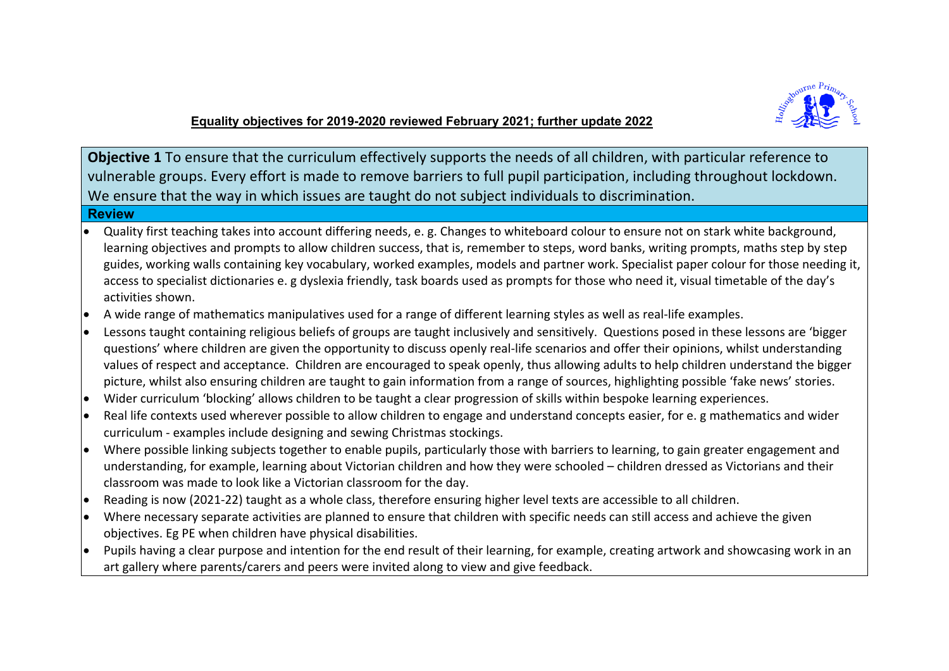

# **Equality objectives for 2019-2020 reviewed February 2021; further update 2022**

**Objective 1** To ensure that the curriculum effectively supports the needs of all children, with particular reference to vulnerable groups. Every effort is made to remove barriers to full pupil participation, including throughout lockdown. We ensure that the way in which issues are taught do not subject individuals to discrimination.

## **Review**

- Quality first teaching takes into account differing needs, e. g. Changes to whiteboard colour to ensure not on stark white background, learning objectives and prompts to allow children success, that is, remember to steps, word banks, writing prompts, maths step by step guides, working walls containing key vocabulary, worked examples, models and partner work. Specialist paper colour for those needing it, access to specialist dictionaries e. g dyslexia friendly, task boards used as prompts for those who need it, visual timetable of the day's activities shown.
- A wide range of mathematics manipulatives used for a range of different learning styles as well as real-life examples.
- Lessons taught containing religious beliefs of groups are taught inclusively and sensitively. Questions posed in these lessons are 'bigger questions' where children are given the opportunity to discuss openly real-life scenarios and offer their opinions, whilst understanding values of respect and acceptance. Children are encouraged to speak openly, thus allowing adults to help children understand the bigger picture, whilst also ensuring children are taught to gain information from a range of sources, highlighting possible 'fake news' stories.
- Wider curriculum 'blocking' allows children to be taught a clear progression of skills within bespoke learning experiences.
- Real life contexts used wherever possible to allow children to engage and understand concepts easier, for e. g mathematics and wider curriculum - examples include designing and sewing Christmas stockings.
- Where possible linking subjects together to enable pupils, particularly those with barriers to learning, to gain greater engagement and understanding, for example, learning about Victorian children and how they were schooled – children dressed as Victorians and their classroom was made to look like a Victorian classroom for the day.
- Reading is now (2021-22) taught as a whole class, therefore ensuring higher level texts are accessible to all children.
- Where necessary separate activities are planned to ensure that children with specific needs can still access and achieve the given objectives. Eg PE when children have physical disabilities.
- $\bullet$  Pupils having a clear purpose and intention for the end result of their learning, for example, creating artwork and showcasing work in an art gallery where parents/carers and peers were invited along to view and give feedback.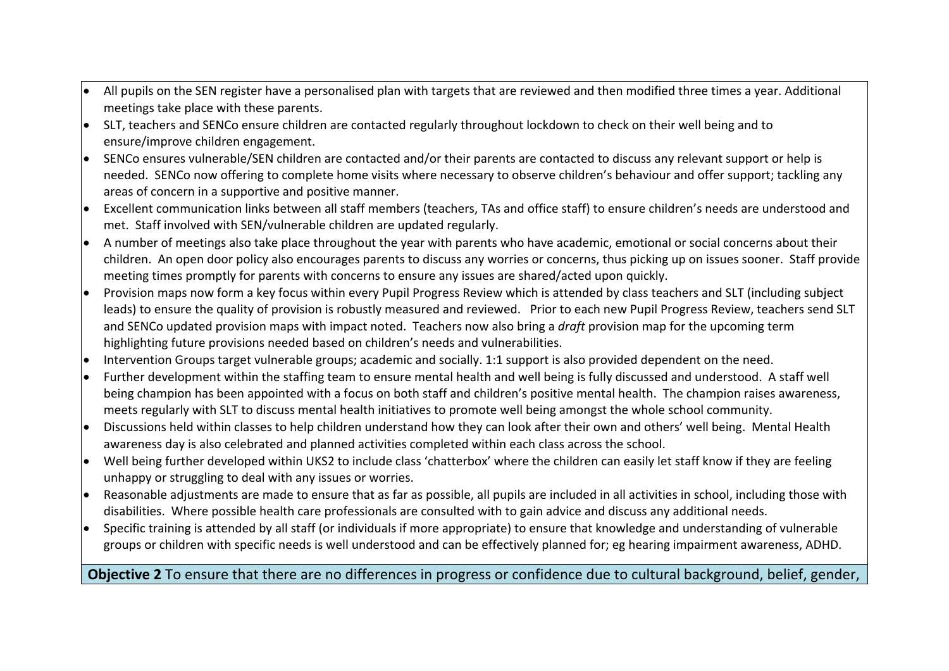- All pupils on the SEN register have a personalised plan with targets that are reviewed and then modified three times a year. Additional meetings take place with these parents.
- SLT, teachers and SENCo ensure children are contacted regularly throughout lockdown to check on their well being and to ensure/improve children engagement.
- SENCo ensures vulnerable/SEN children are contacted and/or their parents are contacted to discuss any relevant support or help is needed. SENCo now offering to complete home visits where necessary to observe children's behaviour and offer support; tackling any areas of concern in a supportive and positive manner.
- Excellent communication links between all staff members (teachers, TAs and office staff) to ensure children's needs are understood and met. Staff involved with SEN/vulnerable children are updated regularly.
- A number of meetings also take place throughout the year with parents who have academic, emotional or social concerns about their children. An open door policy also encourages parents to discuss any worries or concerns, thus picking up on issues sooner. Staff provide meeting times promptly for parents with concerns to ensure any issues are shared/acted upon quickly.
- Provision maps now form a key focus within every Pupil Progress Review which is attended by class teachers and SLT (including subject leads) to ensure the quality of provision is robustly measured and reviewed. Prior to each new Pupil Progress Review, teachers send SLT and SENCo updated provision maps with impact noted. Teachers now also bring a *draft* provision map for the upcoming term highlighting future provisions needed based on children's needs and vulnerabilities.
- $\bullet$  Intervention Groups target vulnerable groups; academic and socially. 1:1 support is also provided dependent on the need.
- Further development within the staffing team to ensure mental health and well being is fully discussed and understood. A staff well being champion has been appointed with a focus on both staff and children's positive mental health. The champion raises awareness, meets regularly with SLT to discuss mental health initiatives to promote well being amongst the whole school community.
- Discussions held within classes to help children understand how they can look after their own and others' well being. Mental Health awareness day is also celebrated and planned activities completed within each class across the school.
- $\bullet$  Well being further developed within UKS2 to include class 'chatterbox' where the children can easily let staff know if they are feeling unhappy or struggling to deal with any issues or worries.
- Reasonable adjustments are made to ensure that as far as possible, all pupils are included in all activities in school, including those with disabilities. Where possible health care professionals are consulted with to gain advice and discuss any additional needs.
- Specific training is attended by all staff (or individuals if more appropriate) to ensure that knowledge and understanding of vulnerable groups or children with specific needs is well understood and can be effectively planned for; eg hearing impairment awareness, ADHD.

# **Objective 2** To ensure that there are no differences in progress or confidence due to cultural background, belief, gender,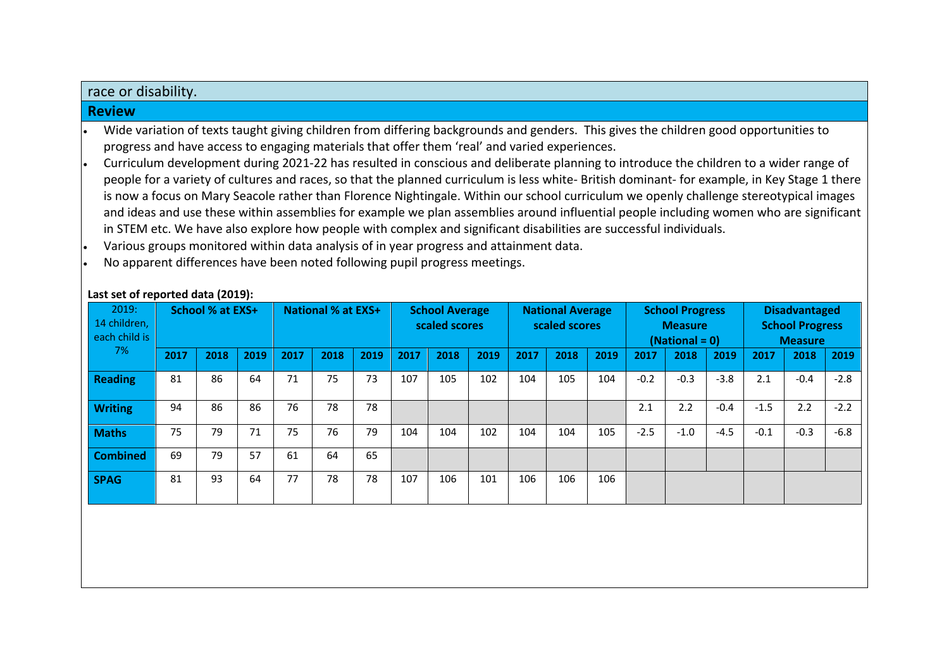### race or disability.

#### **Review**

- Wide variation of texts taught giving children from differing backgrounds and genders. This gives the children good opportunities to progress and have access to engaging materials that offer them 'real' and varied experiences.
- Curriculum development during 2021-22 has resulted in conscious and deliberate planning to introduce the children to a wider range of people for a variety of cultures and races, so that the planned curriculum is less white- British dominant- for example, in Key Stage 1 there is now a focus on Mary Seacole rather than Florence Nightingale. Within our school curriculum we openly challenge stereotypical images and ideas and use these within assemblies for example we plan assemblies around influential people including women who are significant in STEM etc. We have also explore how people with complex and significant disabilities are successful individuals.
- Various groups monitored within data analysis of in year progress and attainment data.
- No apparent differences have been noted following pupil progress meetings.

| 2019:<br>14 children,<br>each child is<br>7% | School % at EXS+ |      |      |      | <b>National % at EXS+</b> |      |      | <b>School Average</b><br>scaled scores |      |      | <b>National Average</b><br>scaled scores |      | <b>School Progress</b><br><b>Measure</b><br>$(National = 0)$ |        |        | <b>Disadvantaged</b><br><b>School Progress</b><br><b>Measure</b> |        |        |
|----------------------------------------------|------------------|------|------|------|---------------------------|------|------|----------------------------------------|------|------|------------------------------------------|------|--------------------------------------------------------------|--------|--------|------------------------------------------------------------------|--------|--------|
|                                              | 2017             | 2018 | 2019 | 2017 | 2018                      | 2019 | 2017 | 2018                                   | 2019 | 2017 | 2018                                     | 2019 | 2017                                                         | 2018   | 2019   | 2017                                                             | 2018   | 2019   |
| Reading                                      | 81               | 86   | 64   | 71   | 75                        | 73   | 107  | 105                                    | 102  | 104  | 105                                      | 104  | $-0.2$                                                       | $-0.3$ | $-3.8$ | 2.1                                                              | $-0.4$ | $-2.8$ |
| <b>Writing</b>                               | 94               | 86   | 86   | 76   | 78                        | 78   |      |                                        |      |      |                                          |      | 2.1                                                          | 2.2    | $-0.4$ | $-1.5$                                                           | 2.2    | $-2.2$ |
| <b>Maths</b>                                 | 75               | 79   | 71   | 75   | 76                        | 79   | 104  | 104                                    | 102  | 104  | 104                                      | 105  | $-2.5$                                                       | $-1.0$ | $-4.5$ | $-0.1$                                                           | $-0.3$ | $-6.8$ |
| <b>Combined</b>                              | 69               | 79   | 57   | 61   | 64                        | 65   |      |                                        |      |      |                                          |      |                                                              |        |        |                                                                  |        |        |
| <b>SPAG</b>                                  | 81               | 93   | 64   | 77   | 78                        | 78   | 107  | 106                                    | 101  | 106  | 106                                      | 106  |                                                              |        |        |                                                                  |        |        |

#### **Last set of reported data (2019):**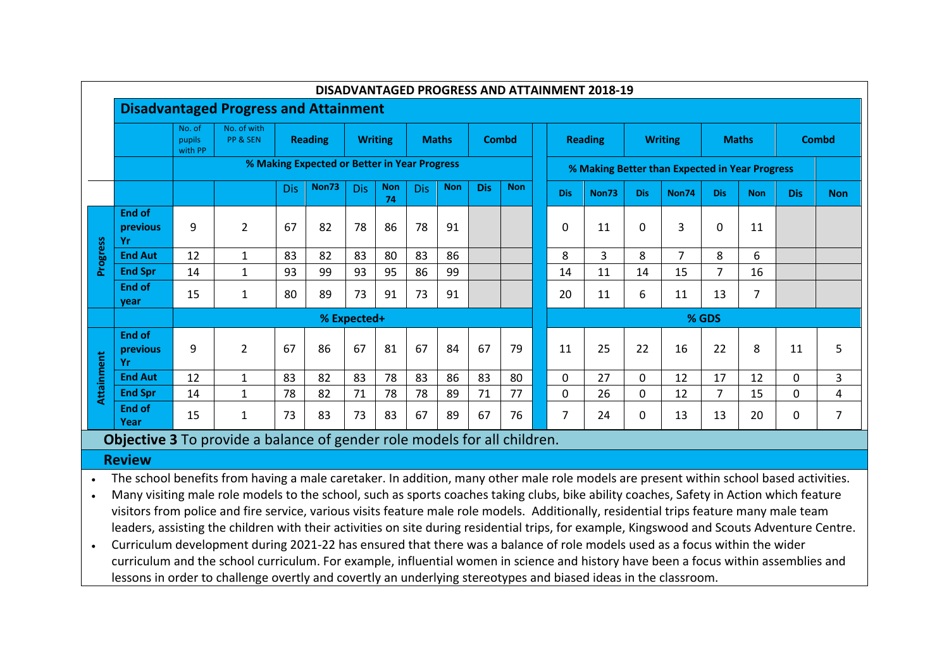| DISADVANTAGED PROGRESS AND ATTAINMENT 2018-19 |                                              |                                                                                            |                |            |              |            |                  |            |            |                |            |                |                                                |              |             |                |                |                |            |            |  |
|-----------------------------------------------|----------------------------------------------|--------------------------------------------------------------------------------------------|----------------|------------|--------------|------------|------------------|------------|------------|----------------|------------|----------------|------------------------------------------------|--------------|-------------|----------------|----------------|----------------|------------|------------|--|
|                                               | <b>Disadvantaged Progress and Attainment</b> |                                                                                            |                |            |              |            |                  |            |            |                |            |                |                                                |              |             |                |                |                |            |            |  |
|                                               |                                              | No. of with<br>No. of<br><b>Writing</b><br>PP & SEN<br><b>Reading</b><br>pupils<br>with PP |                |            | <b>Maths</b> |            | <b>Combd</b>     |            |            | <b>Reading</b> |            | <b>Writing</b> |                                                | <b>Maths</b> |             |                | <b>Combd</b>   |                |            |            |  |
|                                               |                                              | % Making Expected or Better in Year Progress                                               |                |            |              |            |                  |            |            |                |            |                | % Making Better than Expected in Year Progress |              |             |                |                |                |            |            |  |
|                                               |                                              |                                                                                            |                | <b>Dis</b> | Non73        | <b>Dis</b> | <b>Non</b><br>74 | <b>Dis</b> | <b>Non</b> | <b>Dis</b>     | <b>Non</b> |                | <b>Dis</b>                                     | Non73        | <b>Dis</b>  | Non74          | <b>Dis</b>     | <b>Non</b>     | <b>Dis</b> | <b>Non</b> |  |
|                                               | <b>End of</b><br><b>previous</b><br>Yr       | 9                                                                                          | $\overline{2}$ | 67         | 82           | 78         | 86               | 78         | 91         |                |            |                | 0                                              | 11           | $\Omega$    | 3              | <sup>0</sup>   | 11             |            |            |  |
| Progress                                      | <b>End Aut</b>                               | 12                                                                                         | $\mathbf{1}$   | 83         | 82           | 83         | 80               | 83         | 86         |                |            |                | 8                                              | 3            | 8           | $\overline{7}$ | 8              | 6              |            |            |  |
|                                               | <b>End Spr</b>                               | 14                                                                                         | $\mathbf{1}$   | 93         | 99           | 93         | 95               | 86         | 99         |                |            |                | 14                                             | 11           | 14          | 15             |                | 16             |            |            |  |
|                                               | <b>End of</b><br>vear                        | 15                                                                                         | 1              | 80         | 89           | 73         | 91               | 73         | 91         |                |            |                | 20                                             | 11           | 6           | 11             | 13             | $\overline{7}$ |            |            |  |
|                                               |                                              | % Expected+                                                                                |                |            |              |            |                  |            |            |                |            |                | % GDS                                          |              |             |                |                |                |            |            |  |
| Attainment                                    | <b>End of</b><br>previous<br>Yr              | 9                                                                                          | $\overline{2}$ | 67         | 86           | 67         | 81               | 67         | 84         | 67             | 79         |                | 11                                             | 25           | 22          | 16             | 22             | 8              | 11         | 5          |  |
|                                               | <b>End Aut</b>                               | 12                                                                                         | $\mathbf{1}$   | 83         | 82           | 83         | 78               | 83         | 86         | 83             | 80         |                | 0                                              | 27           | $\mathbf 0$ | 12             | 17             | 12             | 0          | 3          |  |
|                                               | <b>End Spr</b>                               | 14                                                                                         | $\mathbf{1}$   | 78         | 82           | 71         | 78               | 78         | 89         | 71             | 77         |                | 0                                              | 26           | 0           | 12             | $\overline{7}$ | 15             | 0          | 4          |  |
|                                               | <b>End of</b><br>Year                        | 15                                                                                         | $\mathbf{1}$   | 73         | 83           | 73         | 83               | 67         | 89         | 67             | 76         |                | $\overline{7}$                                 | 24           | 0           | 13             | 13             | 20             | 0          | 7          |  |

**Objective 3** To provide a balance of gender role models for all children.

# **Review**

• The school benefits from having a male caretaker. In addition, many other male role models are present within school based activities.

- Many visiting male role models to the school, such as sports coaches taking clubs, bike ability coaches, Safety in Action which feature visitors from police and fire service, various visits feature male role models. Additionally, residential trips feature many male team leaders, assisting the children with their activities on site during residential trips, for example, Kingswood and Scouts Adventure Centre.
- Curriculum development during 2021-22 has ensured that there was a balance of role models used as a focus within the wider curriculum and the school curriculum. For example, influential women in science and history have been a focus within assemblies and lessons in order to challenge overtly and covertly an underlying stereotypes and biased ideas in the classroom.